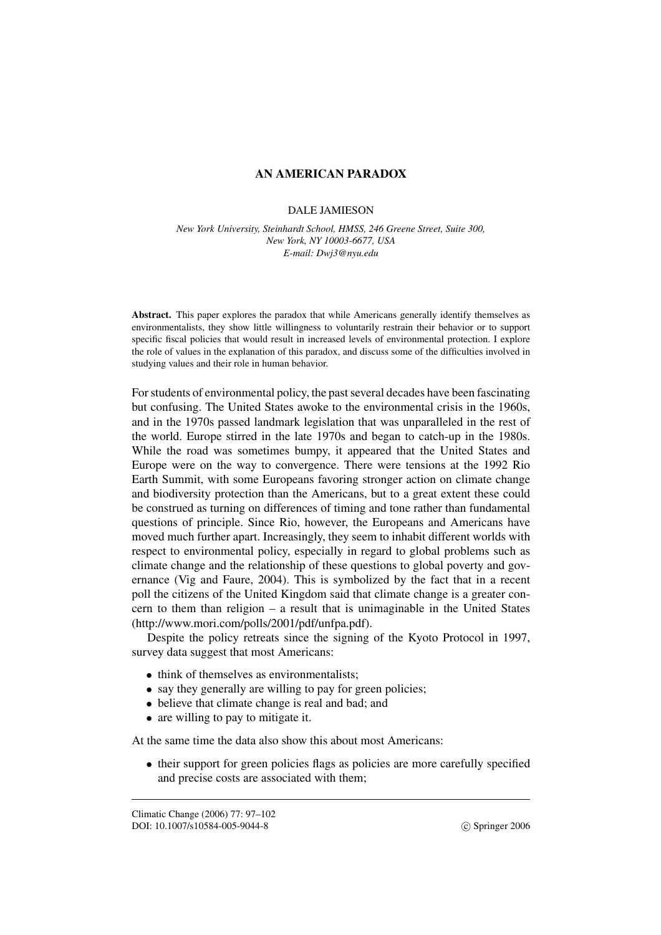# **AN AMERICAN PARADOX**

## DALE JAMIESON

*New York University, Steinhardt School, HMSS, 246 Greene Street, Suite 300, New York, NY 10003-6677, USA E-mail: Dwj3@nyu.edu*

**Abstract.** This paper explores the paradox that while Americans generally identify themselves as environmentalists, they show little willingness to voluntarily restrain their behavior or to support specific fiscal policies that would result in increased levels of environmental protection. I explore the role of values in the explanation of this paradox, and discuss some of the difficulties involved in studying values and their role in human behavior.

For students of environmental policy, the past several decades have been fascinating but confusing. The United States awoke to the environmental crisis in the 1960s, and in the 1970s passed landmark legislation that was unparalleled in the rest of the world. Europe stirred in the late 1970s and began to catch-up in the 1980s. While the road was sometimes bumpy, it appeared that the United States and Europe were on the way to convergence. There were tensions at the 1992 Rio Earth Summit, with some Europeans favoring stronger action on climate change and biodiversity protection than the Americans, but to a great extent these could be construed as turning on differences of timing and tone rather than fundamental questions of principle. Since Rio, however, the Europeans and Americans have moved much further apart. Increasingly, they seem to inhabit different worlds with respect to environmental policy, especially in regard to global problems such as climate change and the relationship of these questions to global poverty and governance (Vig and Faure, 2004). This is symbolized by the fact that in a recent poll the citizens of the United Kingdom said that climate change is a greater concern to them than religion – a result that is unimaginable in the United States (http://www.mori.com/polls/2001/pdf/unfpa.pdf).

Despite the policy retreats since the signing of the Kyoto Protocol in 1997, survey data suggest that most Americans:

- think of themselves as environmentalists;
- say they generally are willing to pay for green policies;
- believe that climate change is real and bad; and
- are willing to pay to mitigate it.

At the same time the data also show this about most Americans:

• their support for green policies flags as policies are more carefully specified and precise costs are associated with them;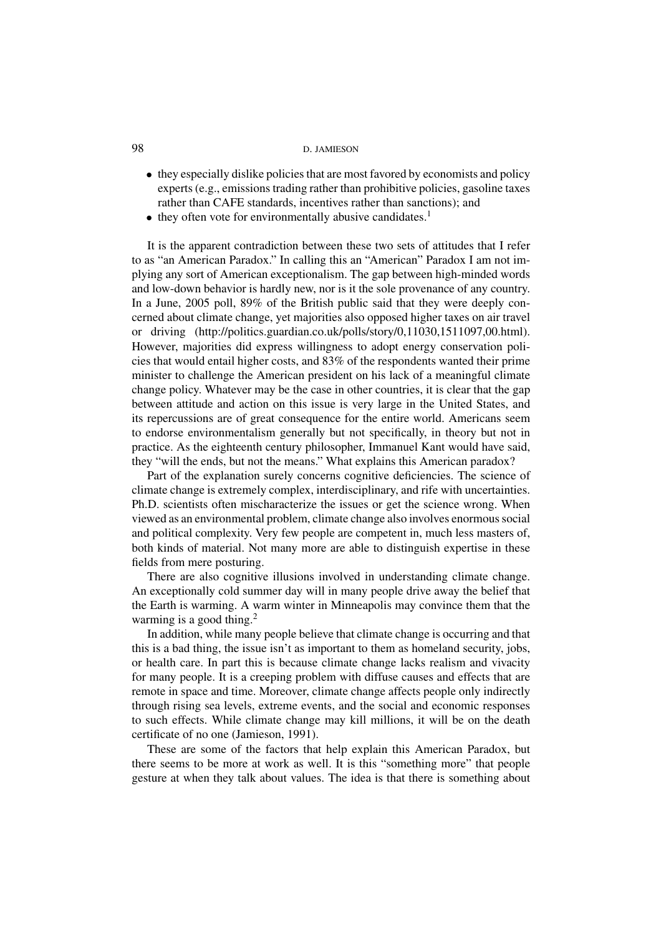# 98 D. JAMIESON

- they especially dislike policies that are most favored by economists and policy experts (e.g., emissions trading rather than prohibitive policies, gasoline taxes rather than CAFE standards, incentives rather than sanctions); and
- $\bullet$  they often vote for environmentally abusive candidates.<sup>1</sup>

It is the apparent contradiction between these two sets of attitudes that I refer to as "an American Paradox." In calling this an "American" Paradox I am not implying any sort of American exceptionalism. The gap between high-minded words and low-down behavior is hardly new, nor is it the sole provenance of any country. In a June, 2005 poll, 89% of the British public said that they were deeply concerned about climate change, yet majorities also opposed higher taxes on air travel or driving (http://politics.guardian.co.uk/polls/story/0,11030,1511097,00.html). However, majorities did express willingness to adopt energy conservation policies that would entail higher costs, and 83% of the respondents wanted their prime minister to challenge the American president on his lack of a meaningful climate change policy. Whatever may be the case in other countries, it is clear that the gap between attitude and action on this issue is very large in the United States, and its repercussions are of great consequence for the entire world. Americans seem to endorse environmentalism generally but not specifically, in theory but not in practice. As the eighteenth century philosopher, Immanuel Kant would have said, they "will the ends, but not the means." What explains this American paradox?

Part of the explanation surely concerns cognitive deficiencies. The science of climate change is extremely complex, interdisciplinary, and rife with uncertainties. Ph.D. scientists often mischaracterize the issues or get the science wrong. When viewed as an environmental problem, climate change also involves enormous social and political complexity. Very few people are competent in, much less masters of, both kinds of material. Not many more are able to distinguish expertise in these fields from mere posturing.

There are also cognitive illusions involved in understanding climate change. An exceptionally cold summer day will in many people drive away the belief that the Earth is warming. A warm winter in Minneapolis may convince them that the warming is a good thing.<sup>2</sup>

In addition, while many people believe that climate change is occurring and that this is a bad thing, the issue isn't as important to them as homeland security, jobs, or health care. In part this is because climate change lacks realism and vivacity for many people. It is a creeping problem with diffuse causes and effects that are remote in space and time. Moreover, climate change affects people only indirectly through rising sea levels, extreme events, and the social and economic responses to such effects. While climate change may kill millions, it will be on the death certificate of no one (Jamieson, 1991).

These are some of the factors that help explain this American Paradox, but there seems to be more at work as well. It is this "something more" that people gesture at when they talk about values. The idea is that there is something about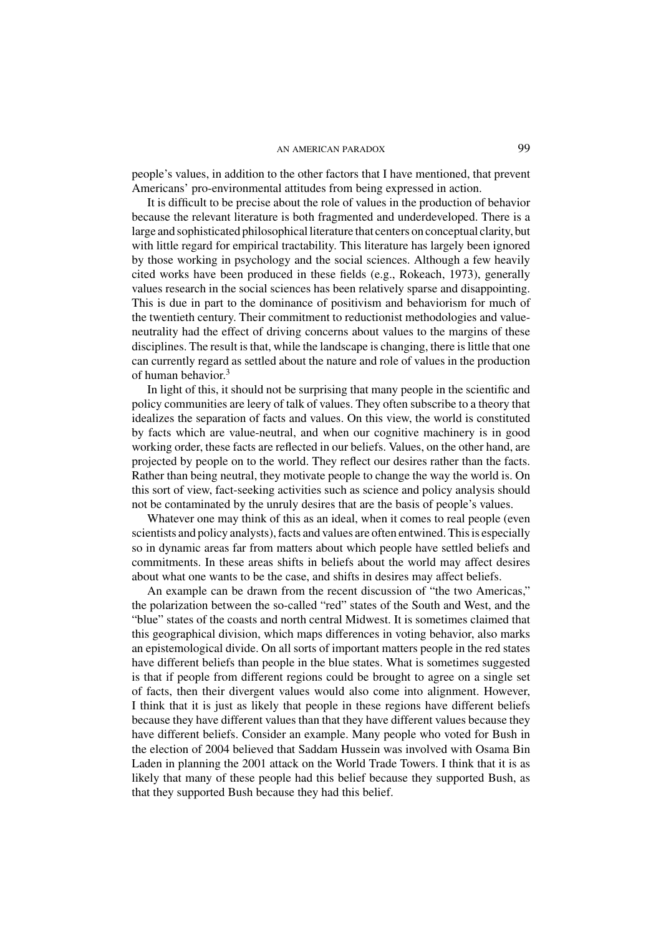## AN AMERICAN PARADOX 99

people's values, in addition to the other factors that I have mentioned, that prevent Americans' pro-environmental attitudes from being expressed in action.

It is difficult to be precise about the role of values in the production of behavior because the relevant literature is both fragmented and underdeveloped. There is a large and sophisticated philosophical literature that centers on conceptual clarity, but with little regard for empirical tractability. This literature has largely been ignored by those working in psychology and the social sciences. Although a few heavily cited works have been produced in these fields (e.g., Rokeach, 1973), generally values research in the social sciences has been relatively sparse and disappointing. This is due in part to the dominance of positivism and behaviorism for much of the twentieth century. Their commitment to reductionist methodologies and valueneutrality had the effect of driving concerns about values to the margins of these disciplines. The result is that, while the landscape is changing, there is little that one can currently regard as settled about the nature and role of values in the production of human behavior  $3$ 

In light of this, it should not be surprising that many people in the scientific and policy communities are leery of talk of values. They often subscribe to a theory that idealizes the separation of facts and values. On this view, the world is constituted by facts which are value-neutral, and when our cognitive machinery is in good working order, these facts are reflected in our beliefs. Values, on the other hand, are projected by people on to the world. They reflect our desires rather than the facts. Rather than being neutral, they motivate people to change the way the world is. On this sort of view, fact-seeking activities such as science and policy analysis should not be contaminated by the unruly desires that are the basis of people's values.

Whatever one may think of this as an ideal, when it comes to real people (even scientists and policy analysts), facts and values are often entwined. This is especially so in dynamic areas far from matters about which people have settled beliefs and commitments. In these areas shifts in beliefs about the world may affect desires about what one wants to be the case, and shifts in desires may affect beliefs.

An example can be drawn from the recent discussion of "the two Americas," the polarization between the so-called "red" states of the South and West, and the "blue" states of the coasts and north central Midwest. It is sometimes claimed that this geographical division, which maps differences in voting behavior, also marks an epistemological divide. On all sorts of important matters people in the red states have different beliefs than people in the blue states. What is sometimes suggested is that if people from different regions could be brought to agree on a single set of facts, then their divergent values would also come into alignment. However, I think that it is just as likely that people in these regions have different beliefs because they have different values than that they have different values because they have different beliefs. Consider an example. Many people who voted for Bush in the election of 2004 believed that Saddam Hussein was involved with Osama Bin Laden in planning the 2001 attack on the World Trade Towers. I think that it is as likely that many of these people had this belief because they supported Bush, as that they supported Bush because they had this belief.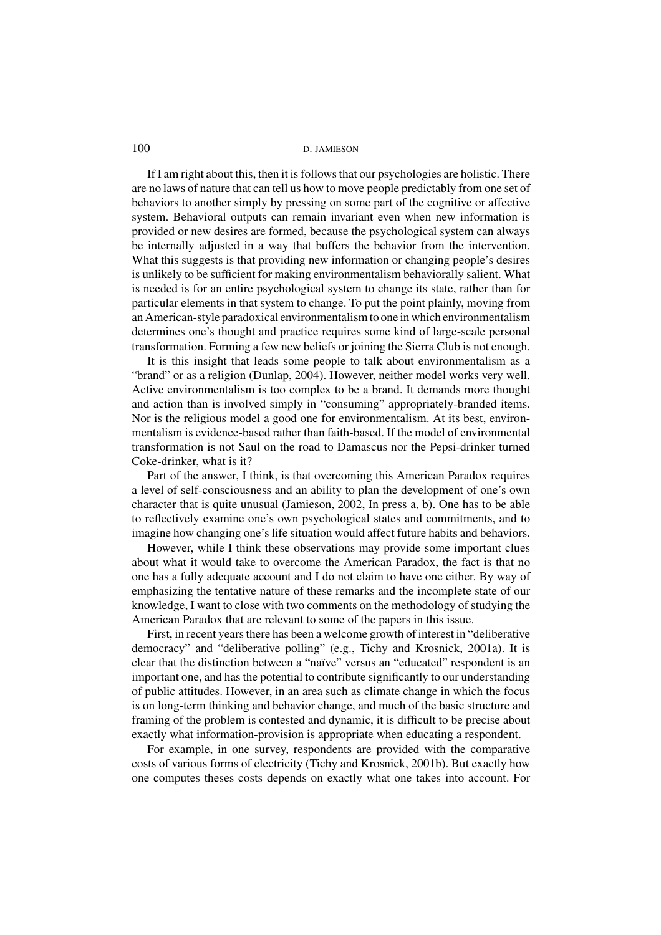### 100 D. JAMIESON

If I am right about this, then it is follows that our psychologies are holistic. There are no laws of nature that can tell us how to move people predictably from one set of behaviors to another simply by pressing on some part of the cognitive or affective system. Behavioral outputs can remain invariant even when new information is provided or new desires are formed, because the psychological system can always be internally adjusted in a way that buffers the behavior from the intervention. What this suggests is that providing new information or changing people's desires is unlikely to be sufficient for making environmentalism behaviorally salient. What is needed is for an entire psychological system to change its state, rather than for particular elements in that system to change. To put the point plainly, moving from an American-style paradoxical environmentalism to one in which environmentalism determines one's thought and practice requires some kind of large-scale personal transformation. Forming a few new beliefs or joining the Sierra Club is not enough.

It is this insight that leads some people to talk about environmentalism as a "brand" or as a religion (Dunlap, 2004). However, neither model works very well. Active environmentalism is too complex to be a brand. It demands more thought and action than is involved simply in "consuming" appropriately-branded items. Nor is the religious model a good one for environmentalism. At its best, environmentalism is evidence-based rather than faith-based. If the model of environmental transformation is not Saul on the road to Damascus nor the Pepsi-drinker turned Coke-drinker, what is it?

Part of the answer, I think, is that overcoming this American Paradox requires a level of self-consciousness and an ability to plan the development of one's own character that is quite unusual (Jamieson, 2002, In press a, b). One has to be able to reflectively examine one's own psychological states and commitments, and to imagine how changing one's life situation would affect future habits and behaviors.

However, while I think these observations may provide some important clues about what it would take to overcome the American Paradox, the fact is that no one has a fully adequate account and I do not claim to have one either. By way of emphasizing the tentative nature of these remarks and the incomplete state of our knowledge, I want to close with two comments on the methodology of studying the American Paradox that are relevant to some of the papers in this issue.

First, in recent years there has been a welcome growth of interest in "deliberative democracy" and "deliberative polling" (e.g., Tichy and Krosnick, 2001a). It is clear that the distinction between a "naïve" versus an "educated" respondent is an important one, and has the potential to contribute significantly to our understanding of public attitudes. However, in an area such as climate change in which the focus is on long-term thinking and behavior change, and much of the basic structure and framing of the problem is contested and dynamic, it is difficult to be precise about exactly what information-provision is appropriate when educating a respondent.

For example, in one survey, respondents are provided with the comparative costs of various forms of electricity (Tichy and Krosnick, 2001b). But exactly how one computes theses costs depends on exactly what one takes into account. For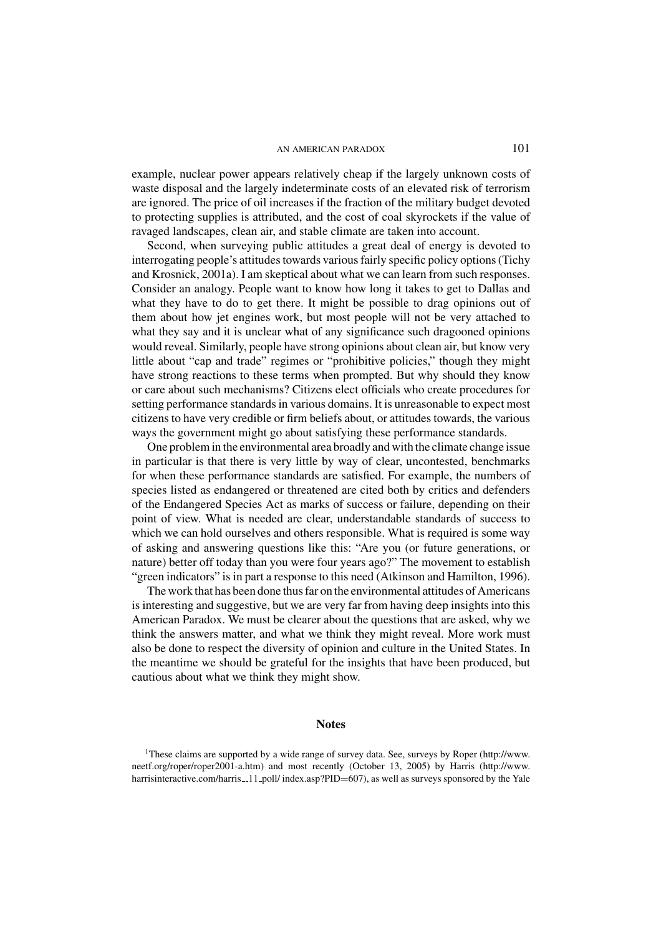### AN AMERICAN PARADOX 101

example, nuclear power appears relatively cheap if the largely unknown costs of waste disposal and the largely indeterminate costs of an elevated risk of terrorism are ignored. The price of oil increases if the fraction of the military budget devoted to protecting supplies is attributed, and the cost of coal skyrockets if the value of ravaged landscapes, clean air, and stable climate are taken into account.

Second, when surveying public attitudes a great deal of energy is devoted to interrogating people's attitudes towards various fairly specific policy options (Tichy and Krosnick, 2001a). I am skeptical about what we can learn from such responses. Consider an analogy. People want to know how long it takes to get to Dallas and what they have to do to get there. It might be possible to drag opinions out of them about how jet engines work, but most people will not be very attached to what they say and it is unclear what of any significance such dragooned opinions would reveal. Similarly, people have strong opinions about clean air, but know very little about "cap and trade" regimes or "prohibitive policies," though they might have strong reactions to these terms when prompted. But why should they know or care about such mechanisms? Citizens elect officials who create procedures for setting performance standards in various domains. It is unreasonable to expect most citizens to have very credible or firm beliefs about, or attitudes towards, the various ways the government might go about satisfying these performance standards.

One problem in the environmental area broadly and with the climate change issue in particular is that there is very little by way of clear, uncontested, benchmarks for when these performance standards are satisfied. For example, the numbers of species listed as endangered or threatened are cited both by critics and defenders of the Endangered Species Act as marks of success or failure, depending on their point of view. What is needed are clear, understandable standards of success to which we can hold ourselves and others responsible. What is required is some way of asking and answering questions like this: "Are you (or future generations, or nature) better off today than you were four years ago?" The movement to establish "green indicators" is in part a response to this need (Atkinson and Hamilton, 1996).

The work that has been done thus far on the environmental attitudes of Americans is interesting and suggestive, but we are very far from having deep insights into this American Paradox. We must be clearer about the questions that are asked, why we think the answers matter, and what we think they might reveal. More work must also be done to respect the diversity of opinion and culture in the United States. In the meantime we should be grateful for the insights that have been produced, but cautious about what we think they might show.

# **Notes**

<sup>&</sup>lt;sup>1</sup>These claims are supported by a wide range of survey data. See, surveys by Roper (http://www. neetf.org/roper/roper2001-a.htm) and most recently (October 13, 2005) by Harris (http://www. harrisinteractive.com/harris 11 poll/ index.asp?PID=607), as well as surveys sponsored by the Yale